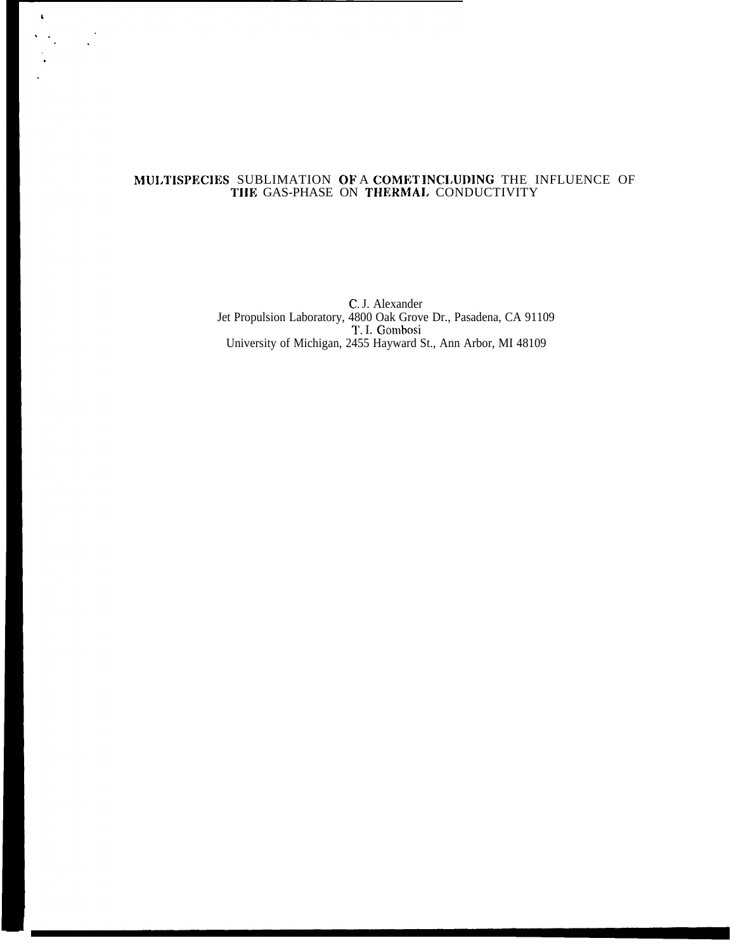#### MUI.TISPECIES SUBLIMATION OF A COMET INCI.UDING THE INFLUENCE OF TIIE GAS-PHASE ON THERMAI. CONDUCTIVITY

 $\hat{\mathbf{t}}$ 

 $\frac{1}{2}$ 

C, J. Alexander Jet Propulsion Laboratory, 4800 Oak Grove Dr., Pasadena, CA 91109 T. I. Gombosi University of Michigan, 2455 Hayward St., Ann Arbor, MI 48109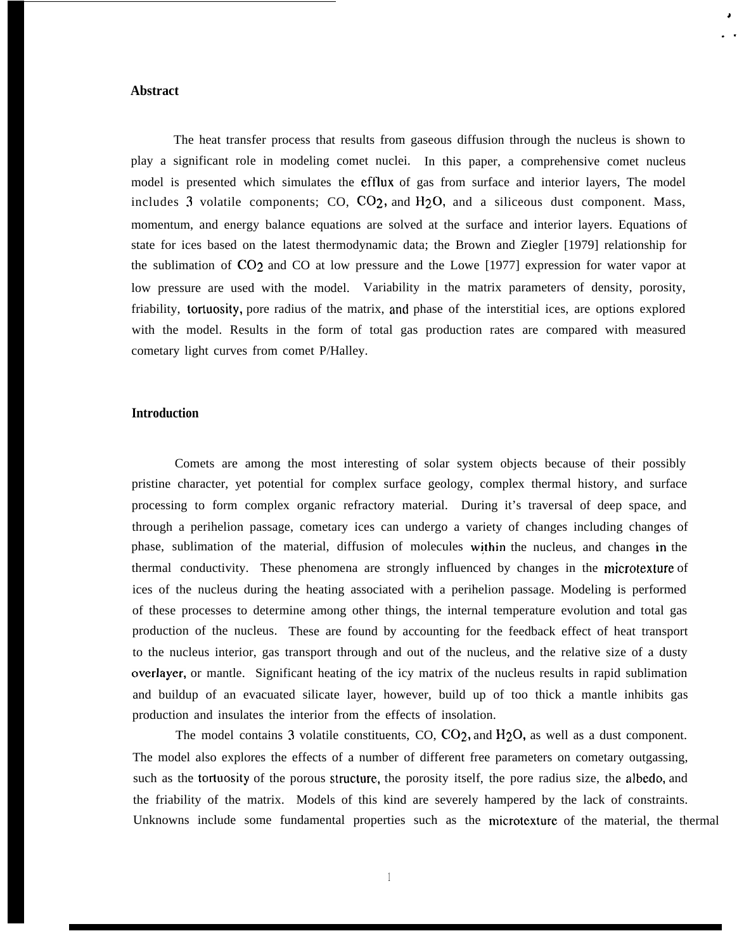### **Abstract**

The heat transfer process that results from gaseous diffusion through the nucleus is shown to play a significant role in modeling comet nuclei. In this paper, a comprehensive comet nucleus model is presented which simulates the eftlux of gas from surface and interior layers, The model includes 3 volatile components; CO,  $CO<sub>2</sub>$ , and  $H<sub>2</sub>O$ , and a siliceous dust component. Mass, momentum, and energy balance equations are solved at the surface and interior layers. Equations of state for ices based on the latest thermodynamic data; the Brown and Ziegler [1979] relationship for the sublimation of C02 and CO at low pressure and the Lowe [1977] expression for water vapor at low pressure are used with the model. Variability in the matrix parameters of density, porosity, friability, tortuosity, pore radius of the matrix, and phase of the interstitial ices, are options explored with the model. Results in the form of total gas production rates are compared with measured cometary light curves from comet P/Halley.

# . .

# **Introduction**

Comets are among the most interesting of solar system objects because of their possibly pristine character, yet potential for complex surface geology, complex thermal history, and surface processing to form complex organic refractory material. During it's traversal of deep space, and through a perihelion passage, cometary ices can undergo a variety of changes including changes of phase, sublimation of the material, diffusion of molecules within the nucleus, and changes in the thermal conductivity. These phenomena are strongly influenced by changes in the microtexture of ices of the nucleus during the heating associated with a perihelion passage. Modeling is performed of these processes to determine among other things, the internal temperature evolution and total gas production of the nucleus. These are found by accounting for the feedback effect of heat transport to the nucleus interior, gas transport through and out of the nucleus, and the relative size of a dusty overlayer, or mantle. Significant heating of the icy matrix of the nucleus results in rapid sublimation and buildup of an evacuated silicate layer, however, build up of too thick a mantle inhibits gas production and insulates the interior from the effects of insolation.

The model contains 3 volatile constituents, CO, CO<sub>2</sub>, and H<sub>2</sub>O, as well as a dust component. The model also explores the effects of a number of different free parameters on cometary outgassing, such as the tortuosity of the porous structure, the porosity itself, the pore radius size, the albedo, and the friability of the matrix. Models of this kind are severely hampered by the lack of constraints. Unknowns include some fundamental properties such as the microtexture of the material, the thermal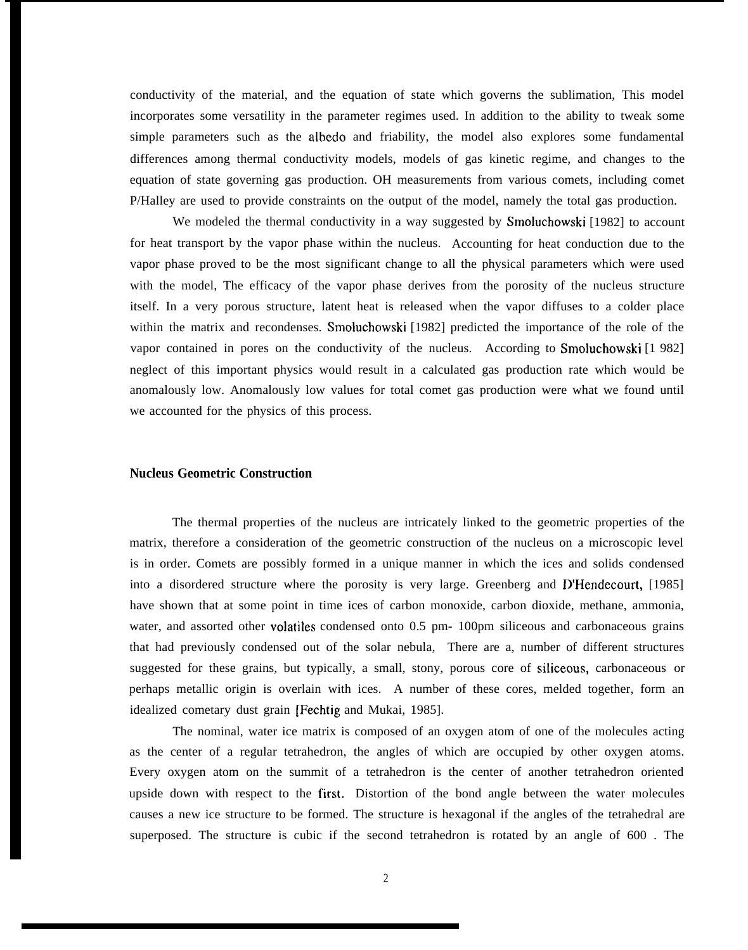conductivity of the material, and the equation of state which governs the sublimation, This model incorporates some versatility in the parameter regimes used. In addition to the ability to tweak some simple parameters such as the albedo and friability, the model also explores some fundamental differences among thermal conductivity models, models of gas kinetic regime, and changes to the equation of state governing gas production. OH measurements from various comets, including comet P/Halley are used to provide constraints on the output of the model, namely the total gas production.

We modeled the thermal conductivity in a way suggested by Smoluchowski [1982] to account for heat transport by the vapor phase within the nucleus. Accounting for heat conduction due to the vapor phase proved to be the most significant change to all the physical parameters which were used with the model, The efficacy of the vapor phase derives from the porosity of the nucleus structure itself. In a very porous structure, latent heat is released when the vapor diffuses to a colder place within the matrix and recondenses. Smoluchowski [1982] predicted the importance of the role of the vapor contained in pores on the conductivity of the nucleus. According to Smoluchowski [1 982] neglect of this important physics would result in a calculated gas production rate which would be anomalously low. Anomalously low values for total comet gas production were what we found until we accounted for the physics of this process.

### **Nucleus Geometric Construction**

The thermal properties of the nucleus are intricately linked to the geometric properties of the matrix, therefore a consideration of the geometric construction of the nucleus on a microscopic level is in order. Comets are possibly formed in a unique manner in which the ices and solids condensed into a disordered structure where the porosity is very large. Greenberg and D'Hendecourt, [1985] have shown that at some point in time ices of carbon monoxide, carbon dioxide, methane, ammonia, water, and assorted other volatiles condensed onto 0.5 pm- 100pm siliceous and carbonaceous grains that had previously condensed out of the solar nebula, There are a, number of different structures suggested for these grains, but typically, a small, stony, porous core of siliceous, carbonaceous or perhaps metallic origin is overlain with ices. A number of these cores, melded together, form an idealized cometary dust grain [Fechtig and Mukai, 1985].

The nominal, water ice matrix is composed of an oxygen atom of one of the molecules acting as the center of a regular tetrahedron, the angles of which are occupied by other oxygen atoms. Every oxygen atom on the summit of a tetrahedron is the center of another tetrahedron oriented upside down with respect to the first. Distortion of the bond angle between the water molecules causes a new ice structure to be formed. The structure is hexagonal if the angles of the tetrahedral are superposed. The structure is cubic if the second tetrahedron is rotated by an angle of 600 . The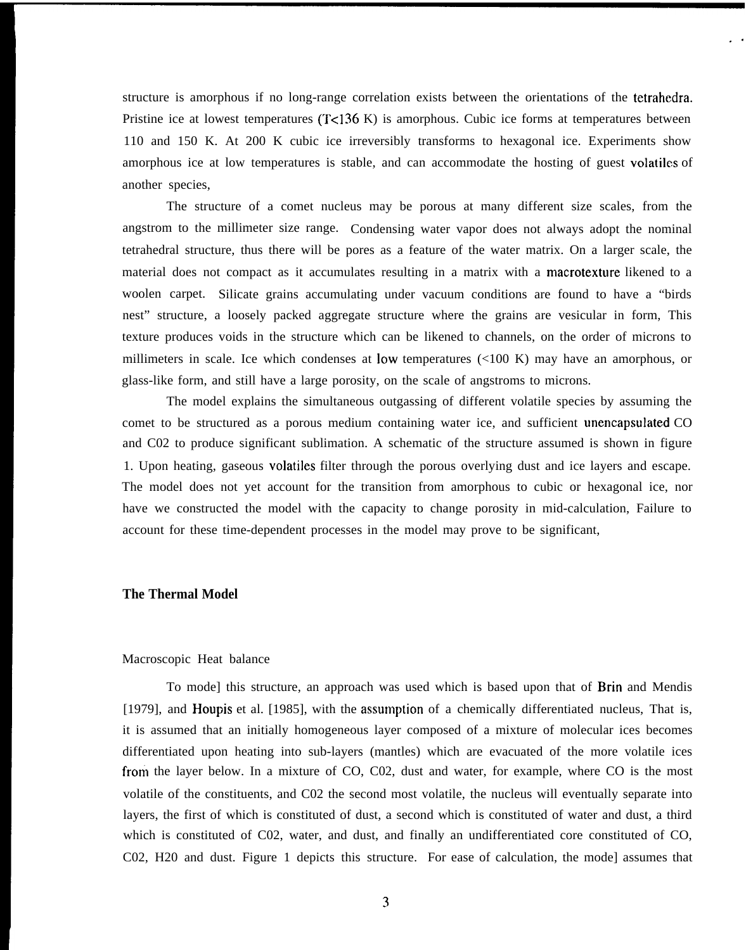structure is amorphous if no long-range correlation exists between the orientations of the tetrahcdra. Pristine ice at lowest temperatures  $(T<136 K)$  is amorphous. Cubic ice forms at temperatures between 110 and 150 K. At 200 K cubic ice irreversibly transforms to hexagonal ice. Experiments show amorphous ice at low temperatures is stable, and can accommodate the hosting of guest volatilcs of another species,

.,

The structure of a comet nucleus may be porous at many different size scales, from the angstrom to the millimeter size range. Condensing water vapor does not always adopt the nominal tetrahedral structure, thus there will be pores as a feature of the water matrix. On a larger scale, the material does not compact as it accumulates resulting in a matrix with a macrotexture likened to a woolen carpet. Silicate grains accumulating under vacuum conditions are found to have a "birds nest" structure, a loosely packed aggregate structure where the grains are vesicular in form, This texture produces voids in the structure which can be likened to channels, on the order of microns to millimeters in scale. Ice which condenses at low temperatures (<100 K) may have an amorphous, or glass-like form, and still have a large porosity, on the scale of angstroms to microns.

The model explains the simultaneous outgassing of different volatile species by assuming the comet to be structured as a porous medium containing water ice, and sufficient unencapsulated CO and C02 to produce significant sublimation. A schematic of the structure assumed is shown in figure 1. Upon heating, gaseous volatiles filter through the porous overlying dust and ice layers and escape. The model does not yet account for the transition from amorphous to cubic or hexagonal ice, nor have we constructed the model with the capacity to change porosity in mid-calculation, Failure to account for these time-dependent processes in the model may prove to be significant,

## **The Thermal Model**

#### Macroscopic Heat balance

To mode] this structure, an approach was used which is based upon that of **Brin** and Mendis [1979], and Houpis et al. [1985], with the assumption of a chemically differentiated nucleus, That is, it is assumed that an initially homogeneous layer composed of a mixture of molecular ices becomes differentiated upon heating into sub-layers (mantles) which are evacuated of the more volatile ices from the layer below. In a mixture of CO, C02, dust and water, for example, where CO is the most volatile of the constituents, and C02 the second most volatile, the nucleus will eventually separate into layers, the first of which is constituted of dust, a second which is constituted of water and dust, a third which is constituted of C02, water, and dust, and finally an undifferentiated core constituted of CO, C02, H20 and dust. Figure 1 depicts this structure. For ease of calculation, the mode] assumes that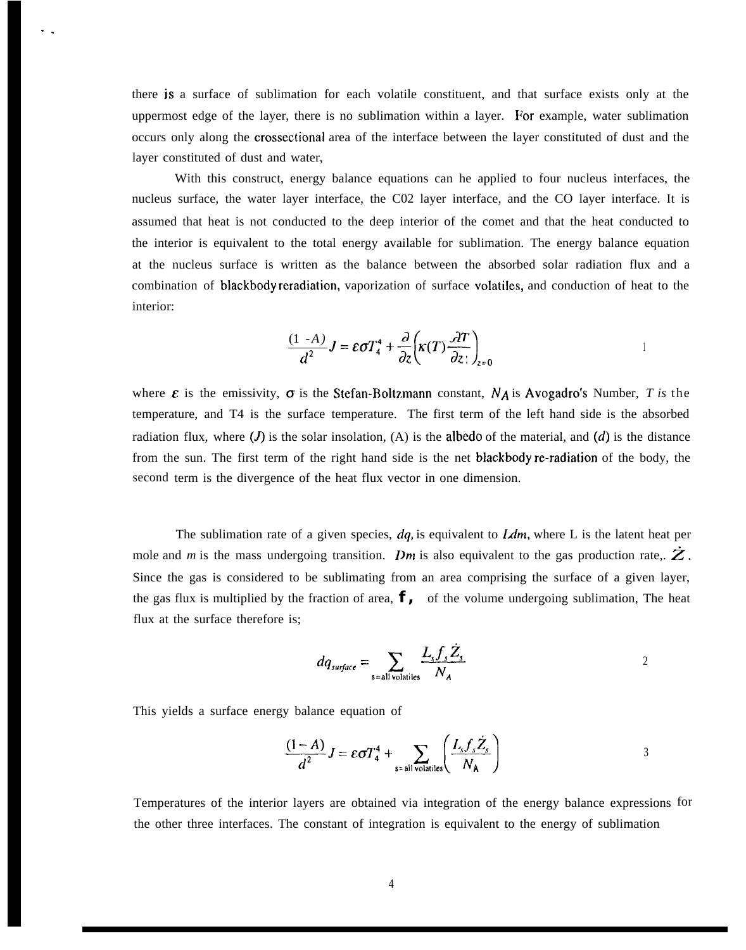there is a surface of sublimation for each volatile constituent, and that surface exists only at the uppermost edge of the layer, there is no sublimation within a layer. For example, water sublimation occurs only along the crossectional area of the interface between the layer constituted of dust and the layer constituted of dust and water,

With this construct, energy balance equations can he applied to four nucleus interfaces, the nucleus surface, the water layer interface, the C02 layer interface, and the CO layer interface. It is assumed that heat is not conducted to the deep interior of the comet and that the heat conducted to the interior is equivalent to the total energy available for sublimation. The energy balance equation at the nucleus surface is written as the balance between the absorbed solar radiation flux and a combination of blackbody reradiation, vaporization of surface volatiles, and conduction of heat to the interior:

$$
\frac{(1-A)}{d^2}J = \varepsilon \sigma T_4^4 + \frac{\partial}{\partial z} \left( \kappa(T) \frac{\partial T}{\partial z} \right)_{z=0}
$$

where  $\varepsilon$  is the emissivity,  $\sigma$  is the Stefan-Boltzmann constant,  $N_A$  is Avogadro's Number, *T* is the temperature, and T4 is the surface temperature. The first term of the left hand side is the absorbed radiation flux, where  $(J)$  is the solar insolation,  $(A)$  is the albedo of the material, and  $(d)$  is the distance from the sun. The first term of the right hand side is the net blackbody re-radiation of the body, the second term is the divergence of the heat flux vector in one dimension.

The sublimation rate of a given species,  $dq$ , is equivalent to  $Ldm$ , where L is the latent heat per mole and *m* is the mass undergoing transition. *Dm* is also equivalent to the gas production rate,.  $Z$ . Since the gas is considered to be sublimating from an area comprising the surface of a given layer, the gas flux is multiplied by the fraction of area,  $f$ , of the volume undergoing sublimation, The heat flux at the surface therefore is;

$$
dq_{surface} = \sum_{s=all \text{ volatiles}} \frac{L_s f_s \dot{Z}_s}{N_A}
$$

This yields a surface energy balance equation of

. .

y balance equation of  
\n
$$
\frac{(1-A)}{d^2}J = \varepsilon \sigma T_4^4 + \sum_{s \text{all volatiles}} \left( \frac{L_s f_s \dot{Z}_s}{N_A} \right)
$$

Temperatures of the interior layers are obtained via integration of the energy balance expressions forthe other three interfaces. The constant of integration is equivalent to the energy of sublimation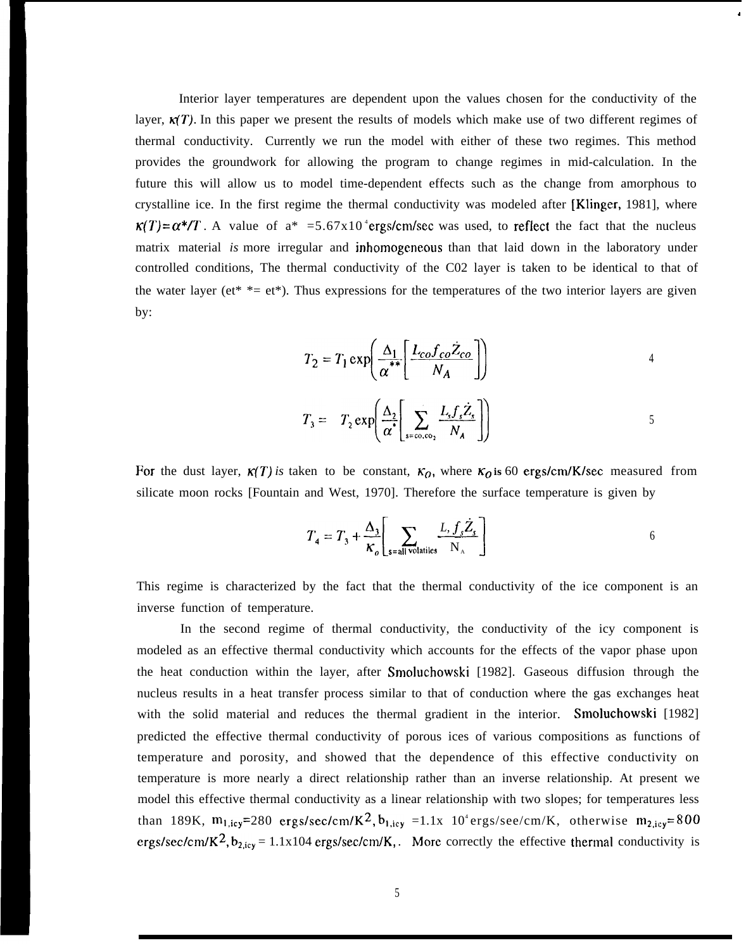Interior layer temperatures are dependent upon the values chosen for the conductivity of the layer,  $\kappa(T)$ . In this paper we present the results of models which make use of two different regimes of thermal conductivity. Currently we run the model with either of these two regimes. This method provides the groundwork for allowing the program to change regimes in mid-calculation. In the future this will allow us to model time-dependent effects such as the change from amorphous to crystalline ice. In the first regime the thermal conductivity was modeled after [Klinger, 1981], where  $\kappa(T) = \alpha^*/T$ . A value of  $a^* = 5.67 \times 10^4$  ergs/cm/sec was used, to reflect the fact that the nucleus matrix material *is* more irregular and inhomogeneous than that laid down in the laboratory under controlled conditions, The thermal conductivity of the C02 layer is taken to be identical to that of the water layer (et\*  $*=$  et\*). Thus expressions for the temperatures of the two interior layers are given by:

$$
T_2 = T_1 \exp\left(\frac{\Delta_1}{\alpha^{**}} \left[ \frac{L_{co} f_{co} \dot{Z}_{co}}{N_A} \right] \right)
$$

,

$$
T_3 = T_2 \exp\left(\frac{\Delta_2}{\alpha^*}\left[\sum_{s=\cos\omega_2}\frac{L_s f_s \dot{Z}_s}{N_A}\right]\right)
$$

For the dust layer,  $\kappa(T)$  is taken to be constant,  $\kappa_0$ , where  $\kappa_0$  is 60 ergs/cm/K/sec measured from silicate moon rocks [Fountain and West, 1970]. Therefore the surface temperature is given by

$$
T_4 = T_3 + \frac{\Delta_3}{\kappa_o} \left[ \sum_{\text{s=all volatiles}} \frac{L, f_s \dot{Z}_s}{N_A} \right]
$$

This regime is characterized by the fact that the thermal conductivity of the ice component is an inverse function of temperature.

In the second regime of thermal conductivity, the conductivity of the icy component is modeled as an effective thermal conductivity which accounts for the effects of the vapor phase upon the heat conduction within the layer, after Smohrchowski [1982]. Gaseous diffusion through the nucleus results in a heat transfer process similar to that of conduction where the gas exchanges heat with the solid material and reduces the thermal gradient in the interior. Smoluchowski [1982] predicted the effective thermal conductivity of porous ices of various compositions as functions of temperature and porosity, and showed that the dependence of this effective conductivity on temperature is more nearly a direct relationship rather than an inverse relationship. At present we model this effective thermal conductivity as a linear relationship with two slopes; for temperatures less than 189K,  $m_{1,iv}=280$  ergs/sec/cm/K<sup>2</sup>,  $b_{1,iv} =1.1x$  10<sup>4</sup> ergs/see/cm/K, otherwise  $m_{2,iv}=800$ ergs/sec/cm/K<sup>2</sup>,  $b_{2,icy} = 1.1x104$  ergs/sec/cm/K,. More correctly the effective thermal conductivity is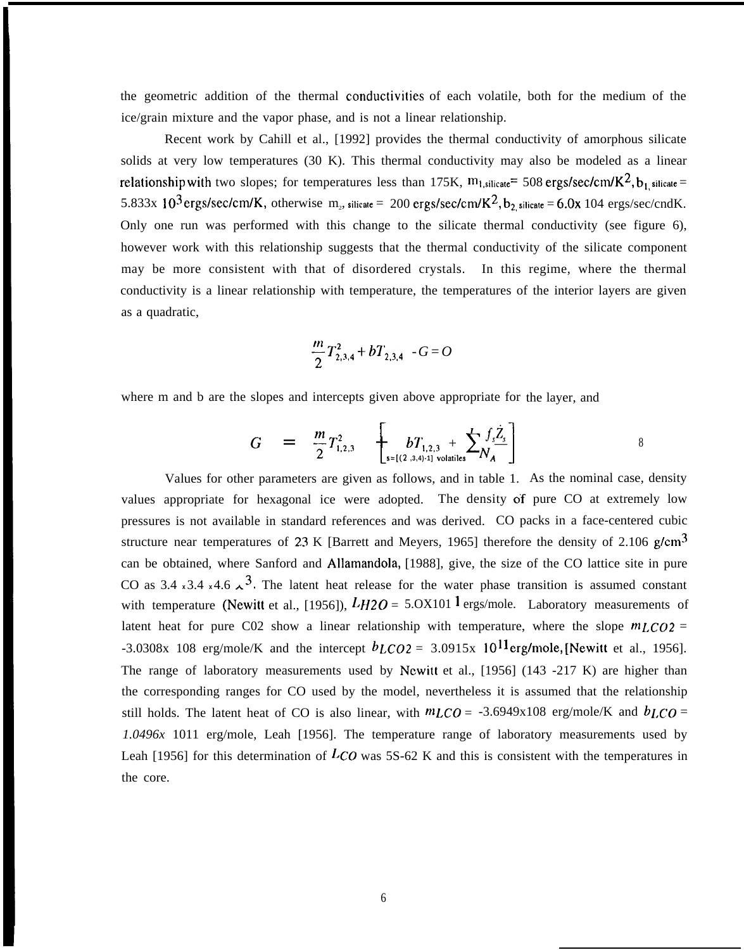the geometric addition of the thermal conductivities of each volatile, both for the medium of the ice/grain mixture and the vapor phase, and is not a linear relationship.

Recent work by Cahill et al., [1992] provides the thermal conductivity of amorphous silicate solids at very low temperatures (30 K). This thermal conductivity may also be modeled as a linear relationship with two slopes; for temperatures less than 175K,  $m_{1,silicate}= 508 \text{ ergs/sec/cm/K}^2$ , b<sub>1, silicate</sub> 5.833x 10<sup>3</sup> ergs/sec/cm/K, otherwise m<sub>2</sub>, silicate = 200 ergs/sec/cm/K<sup>2</sup>, b<sub>2</sub> silicate = 6.0x 104 ergs/sec/cndK. Only one run was performed with this change to the silicate thermal conductivity (see figure 6), however work with this relationship suggests that the thermal conductivity of the silicate component may be more consistent with that of disordered crystals. In this regime, where the thermal conductivity is a linear relationship with temperature, the temperatures of the interior layers are given as a quadratic,

$$
\frac{m}{2}T_{2,3,4}^2 + bT_{2,3,4} - G = O
$$

where m and b are the slopes and intercepts given above appropriate for the layer, and

$$
G = \frac{m}{2} T_{1,2,3}^{2} \left[ b T_{1,2,3} + \sum_{s=[(2,3,4)-1] \text{ volatiles}} f_{s} \frac{\dot{Z}_{s}}{N_{A}} \right]
$$

Values for other parameters are given as follows, and in table 1. As the nominal case, density values appropriate for hexagonal ice were adopted. The density of pure CO at extremely low pressures is not available in standard references and was derived. CO packs in a face-centered cubic structure near temperatures of 2.3 K [Barrett and Meyers, 1965] therefore the density of 2.106  $g/cm<sup>3</sup>$ can be obtained, where Sanford and Allamandola, [1988], give, the size of the CO lattice site in pure CO as 3.4  $\times$ 3.4  $\times$ 4.6  $\lambda$ <sup>3</sup>. The latent heat release for the water phase transition is assumed constant with temperature (Newitt et al., [1956]),  $LH2O = 5.0X101$  l ergs/mole. Laboratory measurements of latent heat for pure C02 show a linear relationship with temperature, where the slope *mLco2 =* -3.0308x 108 erg/mole/K and the intercept  $b_{LCO2} = 3.0915x \, 10^{11}$  erg/mole, [Newitt et al., 1956]. The range of laboratory measurements used by Newitt et al., [1956] (143 -217 K) are higher than the corresponding ranges for CO used by the model, nevertheless it is assumed that the relationship still holds. The latent heat of CO is also linear, with  $mLCO = -3.6949 \times 108$  erg/mole/K and  $bLCO =$ *1.0496x* 1011 erg/mole, Leah [1956]. The temperature range of laboratory measurements used by Leah [1956] for this determination of  $LCO$  was 5S-62 K and this is consistent with the temperatures in the core.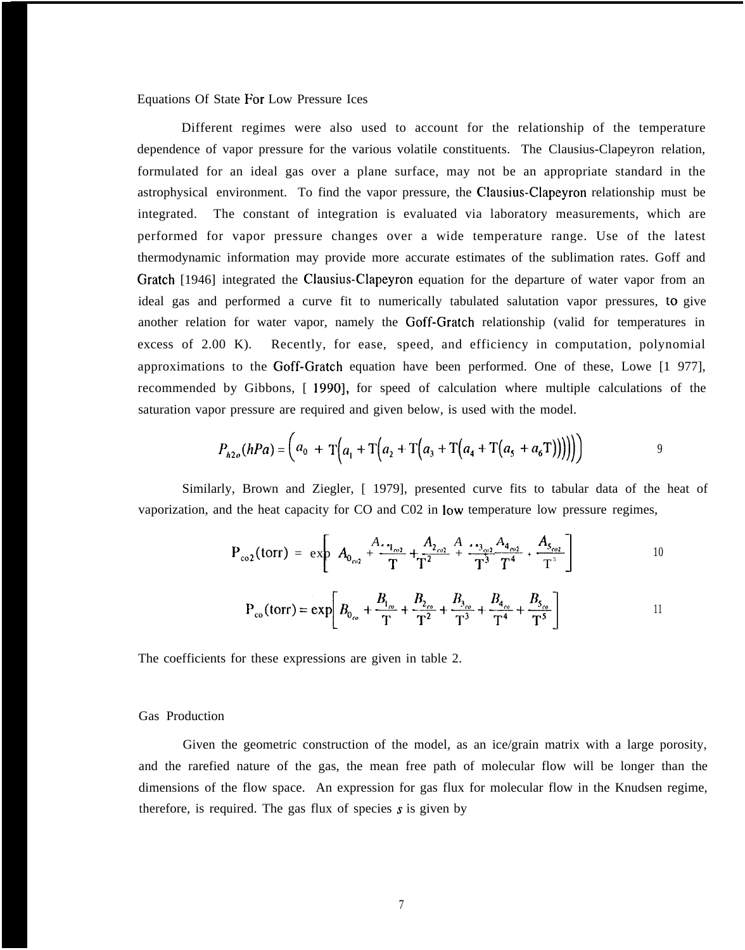Equations Of State For Low Pressure Ices

Different regimes were also used to account for the relationship of the temperature dependence of vapor pressure for the various volatile constituents. The Clausius-Clapeyron relation, formulated for an ideal gas over a plane surface, may not be an appropriate standard in the astrophysical environment. To find the vapor pressure, the Clausius-Clapeyron relationship must be integrated. The constant of integration is evaluated via laboratory measurements, which are performed for vapor pressure changes over a wide temperature range. Use of the latest thermodynamic information may provide more accurate estimates of the sublimation rates. Goff and Gratch [1946] integrated the Clausius-Clapeyron equation for the departure of water vapor from an ideal gas and performed a curve fit to numerically tabulated salutation vapor pressures, to give another relation for water vapor, namely the Goff-Gratch relationship (valid for temperatures in excess of 2.00 K). Recently, for ease, speed, and efficiency in computation, polynomial approximations to the Goff-Gratch equation have been performed. One of these, Lowe [1 977], recommended by Gibbons, [ 1990], for speed of calculation where multiple calculations of the saturation vapor pressure are required and given below, is used with the model.

$$
P_{h2o}(hPa) = (a_0 + T(a_1 + T(a_2 + T(a_3 + T(a_4 + T(a_5 + a_6))))))
$$

Similarly, Brown and Ziegler, [ 1979], presented curve fits to tabular data of the heat of vaporization, and the heat capacity for CO and C02 in low temperature low pressure regimes,

$$
P_{\text{co2}}(\text{torr}) = \exp \left[ A_{0_{\text{co2}}} + \frac{A_{2_{\text{co2}}}}{T} + \frac{A_{2_{\text{co2}}}}{T^2} + \frac{A_{3_{\text{co2}}}}{T^3} + \frac{A_{5_{\text{co2}}}}{T^5} \right]
$$
 10

$$
P_{\rm co}(\text{torr}) = \exp\left[B_{0_{\rm co}} + \frac{B_{1_{\rm co}}}{T} + \frac{B_{2_{\rm co}}}{T^2} + \frac{B_{3_{\rm co}}}{T^3} + \frac{B_{4_{\rm co}}}{T^4} + \frac{B_{5_{\rm co}}}{T^5}\right]
$$
 11

The coefficients for these expressions are given in table 2.

Gas Production

Given the geometric construction of the model, as an ice/grain matrix with a large porosity, and the rarefied nature of the gas, the mean free path of molecular flow will be longer than the dimensions of the flow space. An expression for gas flux for molecular flow in the Knudsen regime, therefore, is required. The gas flux of species  $s$  is given by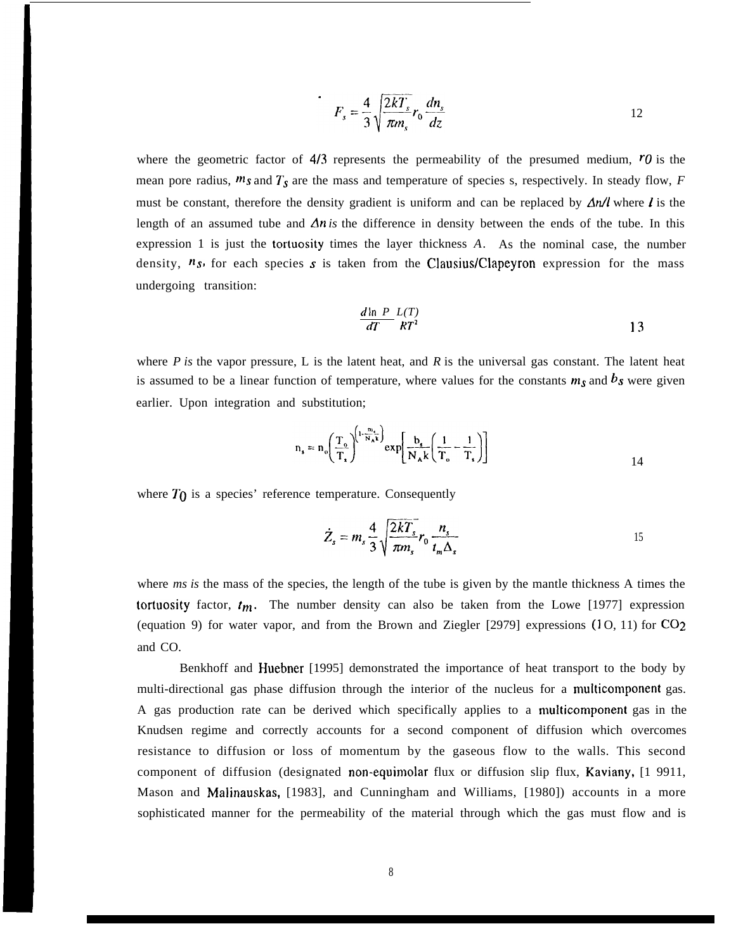$$
F_s = \frac{4}{3} \sqrt{\frac{2kT_s}{\pi m_s}} r_0 \frac{dn_s}{dz}
$$

where the geometric factor of  $4/3$  represents the permeability of the presumed medium,  $r_0$  is the mean pore radius,  $ms$  and  $T_s$  are the mass and temperature of species s, respectively. In steady flow,  $F$ must be constant, therefore the density gradient is uniform and can be replaced by  $\Delta n/l$  where l is the length of an assumed tube and  $\Delta n$  is the difference in density between the ends of the tube. In this expression 1 is just the tortuosity times the layer thickness *A.* As the nominal case, the number density,  $n<sub>s</sub>$ , for each species s is taken from the Clausius/Clapeyron expression for the mass undergoing transition:

$$
\frac{d \ln P}{dT} \frac{L(T)}{RT^2} \tag{13}
$$

where  $P$  is the vapor pressure, L is the latent heat, and  $R$  is the universal gas constant. The latent heat is assumed to be a linear function of temperature, where values for the constants  $m_s$  and  $b_s$  were given earlier. Upon integration and substitution;

$$
n_s = n_o \left(\frac{T_o}{T_s}\right)^{\left(1 - \frac{m_s}{N_A k}\right)} \exp\left[\frac{b_s}{N_A k} \left(\frac{1}{T_o} - \frac{1}{T_s}\right)\right]
$$

where  $T_0$  is a species' reference temperature. Consequently

$$
\dot{Z}_s = m_s \frac{4}{3} \sqrt{\frac{2kT_s}{\pi m_s}} r_0 \frac{n_s}{t_m \Delta_s}
$$

where *ms is* the mass of the species, the length of the tube is given by the mantle thickness A times the tortuosity factor,  $t_m$ . The number density can also be taken from the Lowe [1977] expression (equation 9) for water vapor, and from the Brown and Ziegler [2979] expressions (1 O, 11) for *C02* and CO.

Benkhoff and Huebner [1995] demonstrated the importance of heat transport to the body by multi-directional gas phase diffusion through the interior of the nucleus for a multicomponent gas. A gas production rate can be derived which specifically applies to a multicomponent gas in the Knudsen regime and correctly accounts for a second component of diffusion which overcomes resistance to diffusion or loss of momentum by the gaseous flow to the walls. This second component of diffusion (designated non-equimolar flux or diffusion slip flux, Kaviany, [1 9911, Mason and Malinauskas, [1983], and Cunningham and Williams, [1980]) accounts in a more sophisticated manner for the permeability of the material through which the gas must flow and is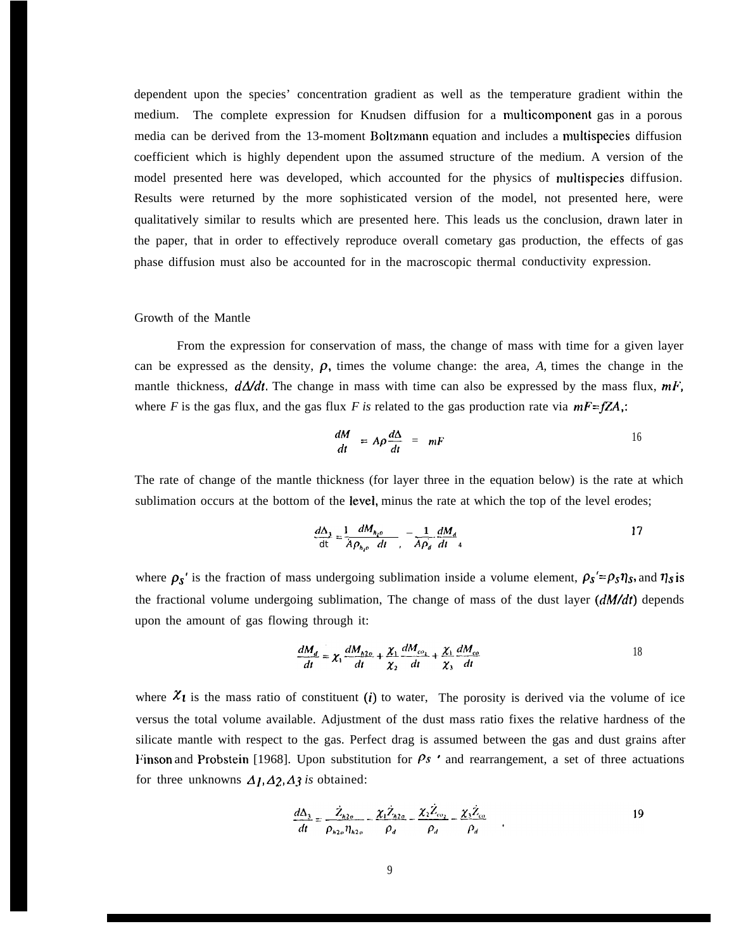dependent upon the species' concentration gradient as well as the temperature gradient within the medium. The complete expression for Knudsen diffusion for a multicomponent gas in a porous media can be derived from the 13-moment Boltzmann equation and includes a multispecies diffusion coefficient which is highly dependent upon the assumed structure of the medium. A version of the model presented here was developed, which accounted for the physics of multispecies diffusion. Results were returned by the more sophisticated version of the model, not presented here, were qualitatively similar to results which are presented here. This leads us the conclusion, drawn later in the paper, that in order to effectively reproduce overall cometary gas production, the effects of gas phase diffusion must also be accounted for in the macroscopic thermal conductivity expression.

#### Growth of the Mantle

From the expression for conservation of mass, the change of mass with time for a given layer can be expressed as the density,  $\rho$ , times the volume change: the area,  $A$ , times the change in the mantle thickness,  $d\Delta/dt$ . The change in mass with time can also be expressed by the mass flux,  $mF$ , where *F* is the gas flux, and the gas flux *F* is related to the gas production rate via  $mF=fZA$ ;

$$
\frac{dM}{dt} = A\rho \frac{d\Delta}{dt} = mF
$$
 16

The rate of change of the mantle thickness (for layer three in the equation below) is the rate at which sublimation occurs at the bottom of the level, minus the rate at which the top of the level erodes;

$$
\frac{d\Delta_1}{dt} = \frac{1}{A\rho_{h_1o}} \frac{dM_{h_1o}}{dt}, \quad -\frac{1}{A\rho_d} \frac{dM_d}{dt}
$$

where  $\rho_s'$  is the fraction of mass undergoing sublimation inside a volume element,  $\rho_s' = \rho_s \eta_s$ , and  $\eta_s$  is the fractional volume undergoing sublimation, The change of mass of the dust layer *(dM/dr)* depends upon the amount of gas flowing through it:

$$
\frac{dM_d}{dt} = \chi_1 \frac{dM_{h2o}}{dt} + \frac{\chi_1}{\chi_2} \frac{dM_{co_1}}{dt} + \frac{\chi_1}{\chi_3} \frac{dM_{co}}{dt}
$$

where  $\chi$  is the mass ratio of constituent (i) to water, The porosity is derived via the volume of ice versus the total volume available. Adjustment of the dust mass ratio fixes the relative hardness of the silicate mantle with respect to the gas. Perfect drag is assumed between the gas and dust grains after Finson and Probstein [1968]. Upon substitution for  $Ps$  ' and rearrangement, a set of three actuations for three unknowns  $\Delta I$ ,  $\Delta 2$ ,  $\Delta 3$  *is* obtained:

$$
\frac{d\Delta_3}{dt} = \frac{\dot{Z}_{h2o}}{\rho_{h2o}\eta_{h2o}} - \frac{\chi_1 \dot{Z}_{h2o}}{\rho_d} - \frac{\chi_2 \dot{Z}_{co_2}}{\rho_d} - \frac{\chi_3 \dot{Z}_{co}}{\rho_d} \tag{19}
$$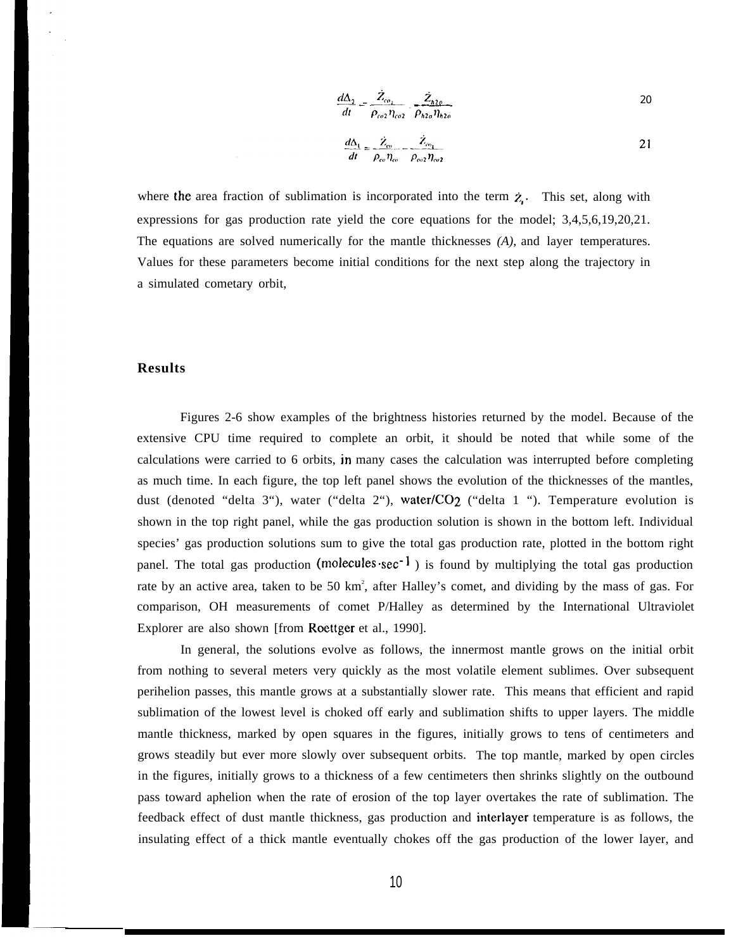$$
\frac{d\Delta_2}{dt} = \frac{\dot{Z}_{co_1}}{\rho_{co2} \eta_{co2}} \frac{\dot{Z}_{h2c}}{\rho_{h2o} \eta_{h2o}}
$$

$$
\frac{d\Delta_1}{dt} = \frac{\dot{Z}_{\infty}}{\rho_{co} \eta_{co}} - \frac{\dot{Z}_{\infty_1}}{\rho_{\infty_2} \eta_{\infty_2}}
$$

where the area fraction of sublimation is incorporated into the term  $\dot{z}$ . This set, along with expressions for gas production rate yield the core equations for the model; 3,4,5,6,19,20,21. The equations are solved numerically for the mantle thicknesses *(A),* and layer temperatures. Values for these parameters become initial conditions for the next step along the trajectory in a simulated cometary orbit,

### **Results**

Figures 2-6 show examples of the brightness histories returned by the model. Because of the extensive CPU time required to complete an orbit, it should be noted that while some of the calculations were carried to 6 orbits, in many cases the calculation was interrupted before completing as much time. In each figure, the top left panel shows the evolution of the thicknesses of the mantles, dust (denoted "delta 3"), water ("delta 2"), water/CO<sub>2</sub> ("delta 1 "). Temperature evolution is shown in the top right panel, while the gas production solution is shown in the bottom left. Individual species' gas production solutions sum to give the total gas production rate, plotted in the bottom right panel. The total gas production (molecules $\sec^{-1}$ ) is found by multiplying the total gas production rate by an active area, taken to be 50 km<sup>2</sup>, after Halley's comet, and dividing by the mass of gas. For comparison, OH measurements of comet P/Halley as determined by the International Ultraviolet Explorer are also shown [from Roettger et al., 1990].

In general, the solutions evolve as follows, the innermost mantle grows on the initial orbit from nothing to several meters very quickly as the most volatile element sublimes. Over subsequent perihelion passes, this mantle grows at a substantially slower rate. This means that efficient and rapid sublimation of the lowest level is choked off early and sublimation shifts to upper layers. The middle mantle thickness, marked by open squares in the figures, initially grows to tens of centimeters and grows steadily but ever more slowly over subsequent orbits. The top mantle, marked by open circles in the figures, initially grows to a thickness of a few centimeters then shrinks slightly on the outbound pass toward aphelion when the rate of erosion of the top layer overtakes the rate of sublimation. The feedback effect of dust mantle thickness, gas production and interlayer temperature is as follows, the insulating effect of a thick mantle eventually chokes off the gas production of the lower layer, and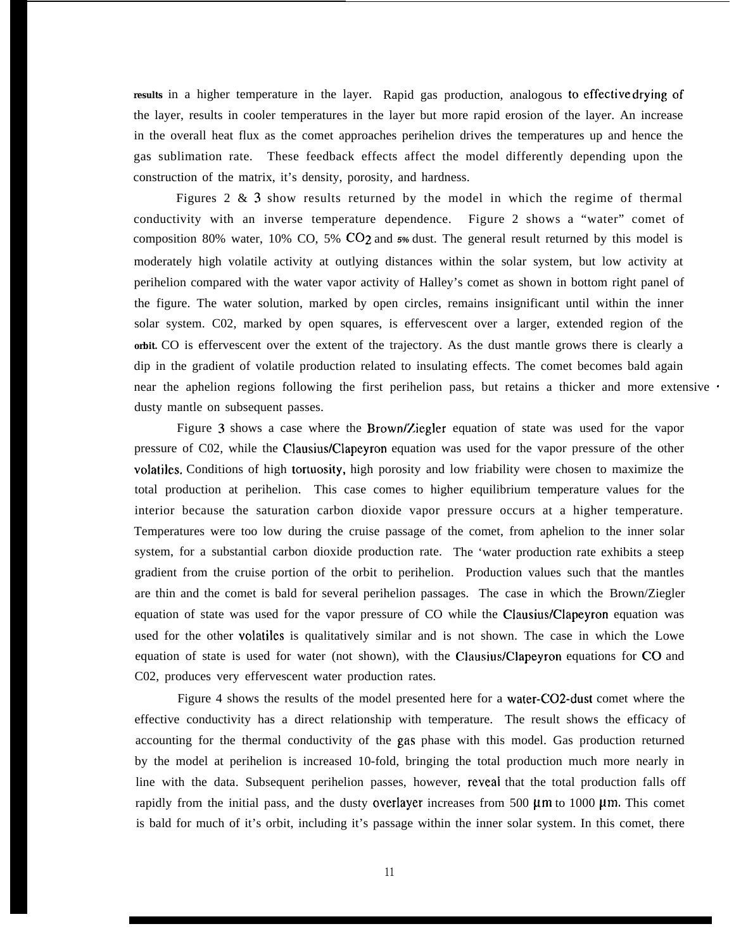results in a higher temperature in the layer. Rapid gas production, analogous to effective drying of the layer, results in cooler temperatures in the layer but more rapid erosion of the layer. An increase in the overall heat flux as the comet approaches perihelion drives the temperatures up and hence the gas sublimation rate. These feedback effects affect the model differently depending upon the construction of the matrix, it's density, porosity, and hardness.

Figures 2 & 3 show results returned by the model in which the regime of thermal conductivity with an inverse temperature dependence. Figure 2 shows a "water" comet of composition 80% water, 10% CO, 5% C02 and **5%** dust. The general result returned by this model is moderately high volatile activity at outlying distances within the solar system, but low activity at perihelion compared with the water vapor activity of Halley's comet as shown in bottom right panel of the figure. The water solution, marked by open circles, remains insignificant until within the inner solar system. C02, marked by open squares, is effervescent over a larger, extended region of the **orbit.** CO is effervescent over the extent of the trajectory. As the dust mantle grows there is clearly a dip in the gradient of volatile production related to insulating effects. The comet becomes bald again near the aphelion regions following the first perihelion pass, but retains a thicker and more extensive · dusty mantle on subsequent passes.

Figure 3 shows a case where the Brown/Ziegler equation of state was used for the vapor pressure of C02, while the Clausius/Clapeyron equation was used for the vapor pressure of the other volatiles. Conditions of high tortuosity, high porosity and low friability were chosen to maximize the total production at perihelion. This case comes to higher equilibrium temperature values for the interior because the saturation carbon dioxide vapor pressure occurs at a higher temperature. Temperatures were too low during the cruise passage of the comet, from aphelion to the inner solar system, for a substantial carbon dioxide production rate. The 'water production rate exhibits a steep gradient from the cruise portion of the orbit to perihelion. Production values such that the mantles are thin and the comet is bald for several perihelion passages. The case in which the Brown/Ziegler equation of state was used for the vapor pressure of CO while the Clausius/Clapeyron equation was used for the other volatiles is qualitatively similar and is not shown. The case in which the Lowe equation of state is used for water (not shown), with the Clausius/Clapeyron equations for CO and C02, produces very effervescent water production rates.

Figure 4 shows the results of the model presented here for a water-C02-dust comet where the effective conductivity has a direct relationship with temperature. The result shows the efficacy of accounting for the thermal conductivity of the gas phase with this model. Gas production returned by the model at perihelion is increased 10-fold, bringing the total production much more nearly in line with the data. Subsequent perihelion passes, however, reveai that the total production falls off rapidly from the initial pass, and the dusty overlayer increases from 500  $\mu$ m to 1000  $\mu$ m. This comet is bald for much of it's orbit, including it's passage within the inner solar system. In this comet, there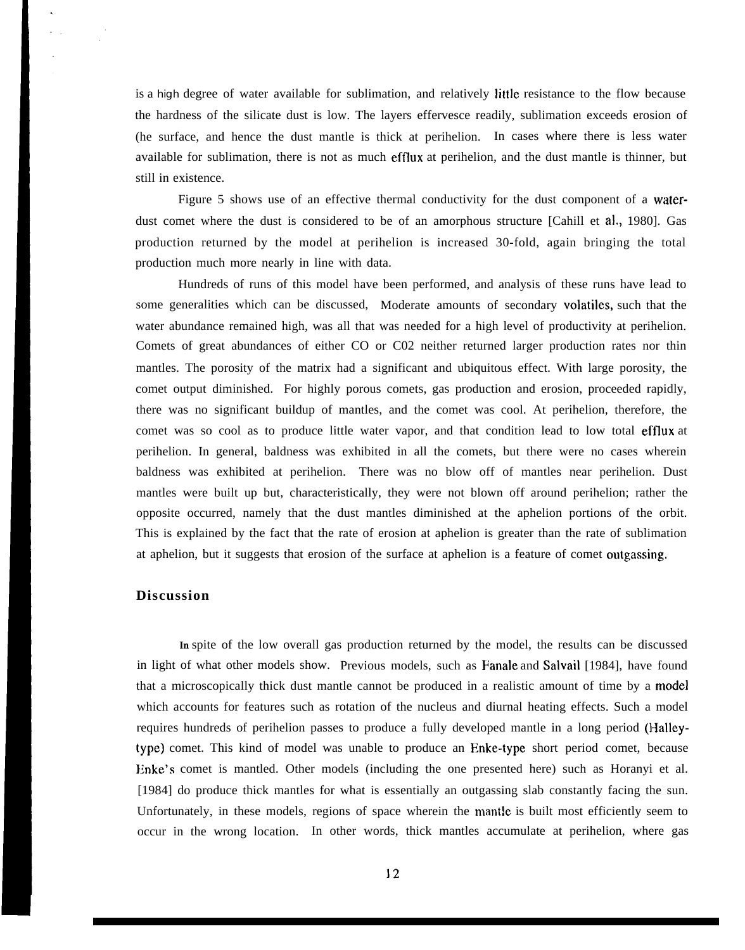is a high degree of water available for sublimation, and relatively little resistance to the flow because the hardness of the silicate dust is low. The layers effervesce readily, sublimation exceeds erosion of (he surface, and hence the dust mantle is thick at perihelion. In cases where there is less water available for sublimation, there is not as much efflux at perihelion, and the dust mantle is thinner, but still in existence.

Figure 5 shows use of an effective thermal conductivity for the dust component of a waterdust comet where the dust is considered to be of an amorphous structure [Cahill et al,, 1980]. Gas production returned by the model at perihelion is increased 30-fold, again bringing the total production much more nearly in line with data.

Hundreds of runs of this model have been performed, and analysis of these runs have lead to some generalities which can be discussed, Moderate amounts of secondary volatiles, such that the water abundance remained high, was all that was needed for a high level of productivity at perihelion. Comets of great abundances of either CO or C02 neither returned larger production rates nor thin mantles. The porosity of the matrix had a significant and ubiquitous effect. With large porosity, the comet output diminished. For highly porous comets, gas production and erosion, proceeded rapidly, there was no significant buildup of mantles, and the comet was cool. At perihelion, therefore, the comet was so cool as to produce little water vapor, and that condition lead to low total efflux at perihelion. In general, baldness was exhibited in all the comets, but there were no cases wherein baldness was exhibited at perihelion. There was no blow off of mantles near perihelion. Dust mantles were built up but, characteristically, they were not blown off around perihelion; rather the opposite occurred, namely that the dust mantles diminished at the aphelion portions of the orbit. This is explained by the fact that the rate of erosion at aphelion is greater than the rate of sublimation at aphelion, but it suggests that erosion of the surface at aphelion is a feature of comet outgassing.

## **Discussion**

**In** spite of the low overall gas production returned by the model, the results can be discussed in light of what other models show. Previous models, such as Fanale and Salvail [1984], have found that a microscopically thick dust mantle cannot be produced in a realistic amount of time by a model which accounts for features such as rotation of the nucleus and diurnal heating effects. Such a model requires hundreds of perihelion passes to produce a fully developed mantle in a long period (Halleytype) comet. This kind of model was unable to produce an Enke-type short period comet, because Enke's comet is mantled. Other models (including the one presented here) such as Horanyi et al. [1984] do produce thick mantles for what is essentially an outgassing slab constantly facing the sun. Unfortunately, in these models, regions of space wherein the mantle is built most efficiently seem to occur in the wrong location. In other words, thick mantles accumulate at perihelion, where gas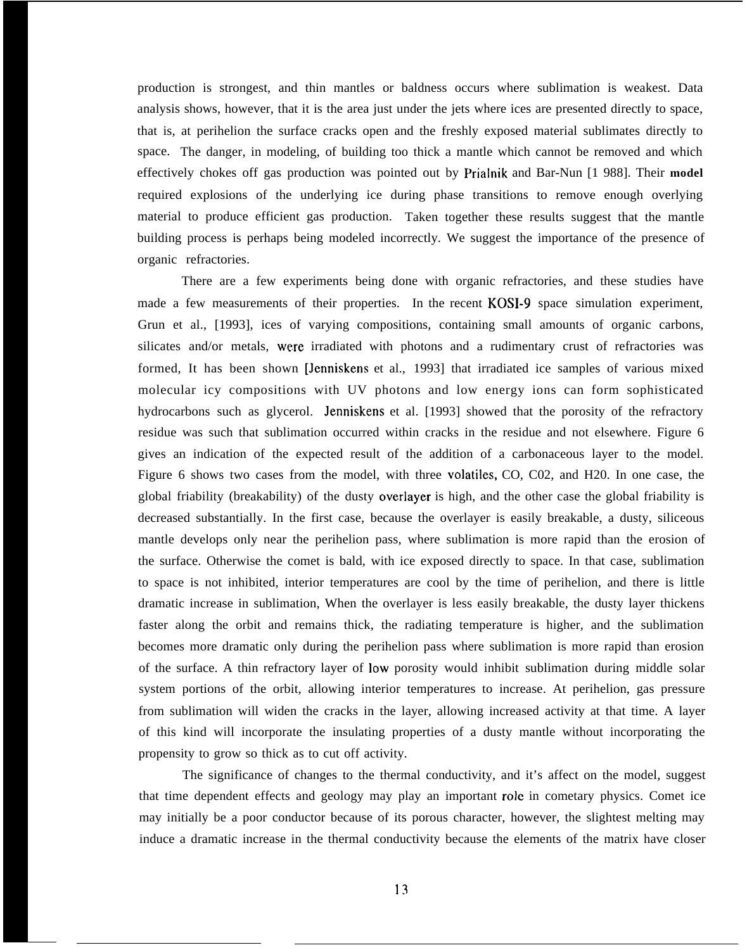production is strongest, and thin mantles or baldness occurs where sublimation is weakest. Data analysis shows, however, that it is the area just under the jets where ices are presented directly to space, that is, at perihelion the surface cracks open and the freshly exposed material sublimates directly to space. The danger, in modeling, of building too thick a mantle which cannot be removed and which effectively chokes off gas production was pointed out by Prialnik and Bar-Nun [1 988]. Their **model** required explosions of the underlying ice during phase transitions to remove enough overlying material to produce efficient gas production. Taken together these results suggest that the mantle building process is perhaps being modeled incorrectly. We suggest the importance of the presence of organic refractories.

There are a few experiments being done with organic refractories, and these studies have made a few measurements of their properties. In the recent KOSI-9 space simulation experiment, Grun et al., [1993], ices of varying compositions, containing small amounts of organic carbons, silicates and/or metals, were irradiated with photons and a rudimentary crust of refractories was formed, It has been shown [Jenniskens et al., 1993] that irradiated ice samples of various mixed molecular icy compositions with UV photons and low energy ions can form sophisticated hydrocarbons such as glycerol. Jenniskens et al. [1993] showed that the porosity of the refractory residue was such that sublimation occurred within cracks in the residue and not elsewhere. Figure 6 gives an indication of the expected result of the addition of a carbonaceous layer to the model. Figure 6 shows two cases from the model, with three volatiles, CO, C02, and H20. In one case, the global friability (breakability) of the dusty overlayer is high, and the other case the global friability is decreased substantially. In the first case, because the overlayer is easily breakable, a dusty, siliceous mantle develops only near the perihelion pass, where sublimation is more rapid than the erosion of the surface. Otherwise the comet is bald, with ice exposed directly to space. In that case, sublimation to space is not inhibited, interior temperatures are cool by the time of perihelion, and there is little dramatic increase in sublimation, When the overlayer is less easily breakable, the dusty layer thickens faster along the orbit and remains thick, the radiating temperature is higher, and the sublimation becomes more dramatic only during the perihelion pass where sublimation is more rapid than erosion of the surface. A thin refractory layer of low porosity would inhibit sublimation during middle solar system portions of the orbit, allowing interior temperatures to increase. At perihelion, gas pressure from sublimation will widen the cracks in the layer, allowing increased activity at that time. A layer of this kind will incorporate the insulating properties of a dusty mantle without incorporating the propensity to grow so thick as to cut off activity.

The significance of changes to the thermal conductivity, and it's affect on the model, suggest that time dependent effects and geology may play an important role in cometary physics. Comet ice may initially be a poor conductor because of its porous character, however, the slightest melting may induce a dramatic increase in the thermal conductivity because the elements of the matrix have closer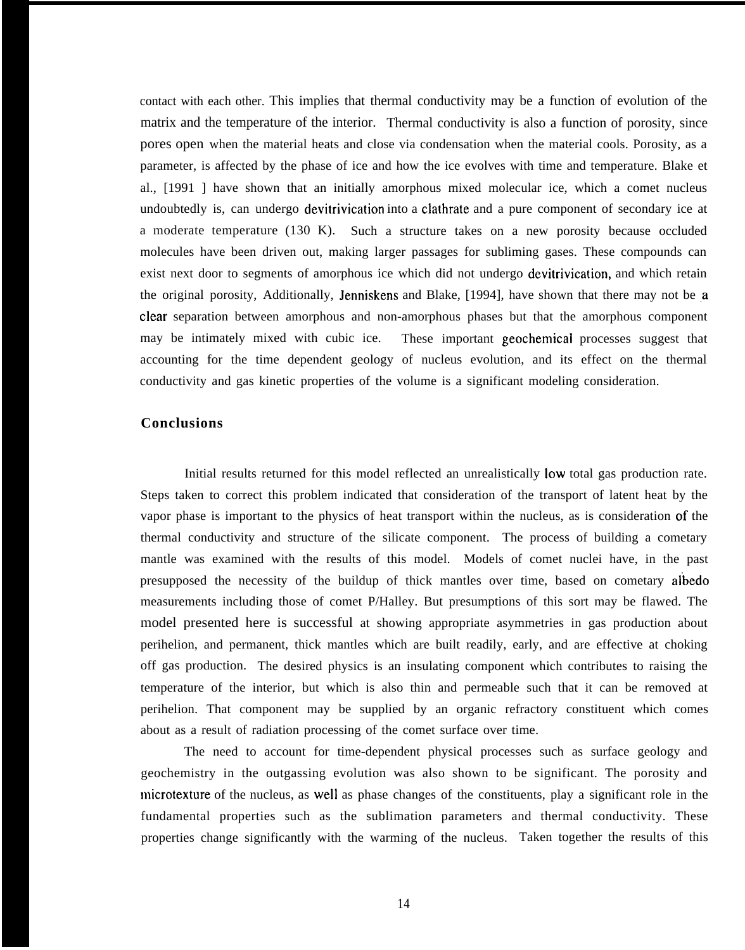contact with each other. This implies that thermal conductivity may be a function of evolution of the matrix and the temperature of the interior. Thermal conductivity is also a function of porosity, since pores open when the material heats and close via condensation when the material cools. Porosity, as a parameter, is affected by the phase of ice and how the ice evolves with time and temperature. Blake et al., [1991 ] have shown that an initially amorphous mixed molecular ice, which a comet nucleus undoubtedly is, can undergo devitrivication into a clathrate and a pure component of secondary ice at a moderate temperature (130 K). Such a structure takes on a new porosity because occluded molecules have been driven out, making larger passages for subliming gases. These compounds can exist next door to segments of amorphous ice which did not undergo devitrivication, and which retain the original porosity, Additionally, Jenniskens and Blake, [1994], have shown that there may not be a clear separation between amorphous and non-amorphous phases but that the amorphous component may be intimately mixed with cubic ice. These important geochemical processes suggest that accounting for the time dependent geology of nucleus evolution, and its effect on the thermal conductivity and gas kinetic properties of the volume is a significant modeling consideration.

### **Conclusions**

Initial results returned for this model reflected an unrealistically low total gas production rate. Steps taken to correct this problem indicated that consideration of the transport of latent heat by the vapor phase is important to the physics of heat transport within the nucleus, as is consideration of the thermal conductivity and structure of the silicate component. The process of building a cometary mantle was examined with the results of this model. Models of comet nuclei have, in the past presupposed the necessity of the buildup of thick mantles over time, based on cometary albedo measurements including those of comet P/Halley. But presumptions of this sort may be flawed. The model presented here is successful at showing appropriate asymmetries in gas production about perihelion, and permanent, thick mantles which are built readily, early, and are effective at choking off gas production. The desired physics is an insulating component which contributes to raising the temperature of the interior, but which is also thin and permeable such that it can be removed at perihelion. That component may be supplied by an organic refractory constituent which comes about as a result of radiation processing of the comet surface over time.

The need to account for time-dependent physical processes such as surface geology and geochemistry in the outgassing evolution was also shown to be significant. The porosity and microtexture of the nucleus, as well as phase changes of the constituents, play a significant role in the fundamental properties such as the sublimation parameters and thermal conductivity. These properties change significantly with the warming of the nucleus. Taken together the results of this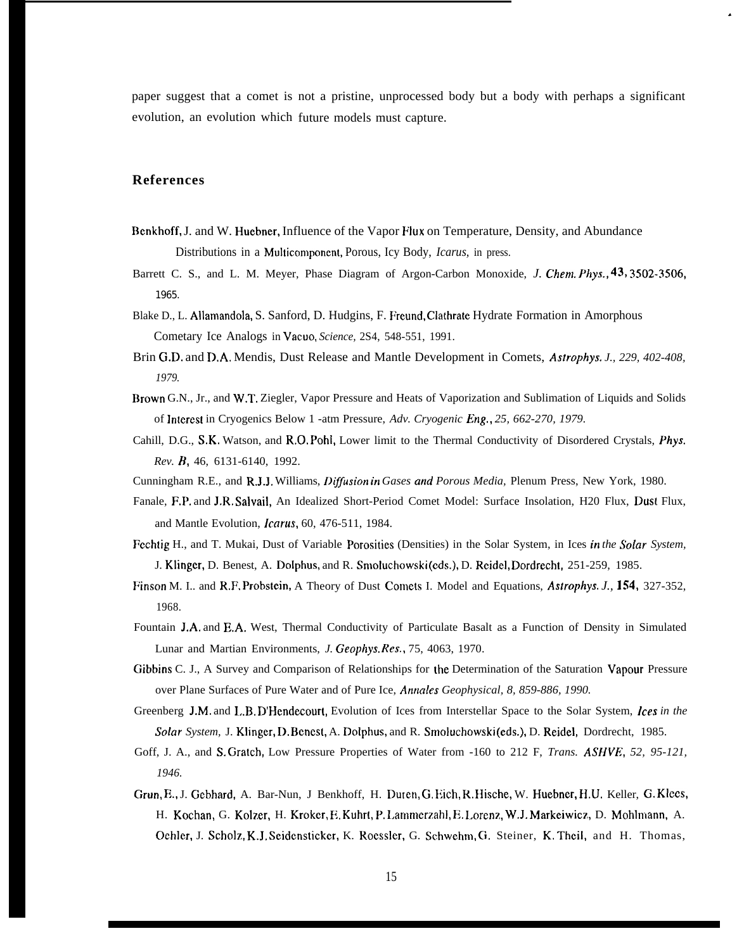paper suggest that a comet is not a pristine, unprocessed body but a body with perhaps a significant evolution, an evolution which future models must capture.

.

## **References**

- 13cnkhoff, J. and W. Huebner, Influence of the Vapor Flux on Temperature, Density, and Abundance Distributions in a Muhicomponent, Porous, Icy Body, *Icarus,* in press.
- Barrett C. S., and L. M. Meyer, Phase Diagram of Argon-Carbon Monoxide, *J. Chem. Phys., 43, 3502-35M* 1965.
- Blake D., L. Allamandola, S. Sanford, D. Hudgins, F. Freund, Clathrate Hydrate Formation in Amorphous Cometary Ice Analogs in Vacuo, *Science,* 2S4, 548-551, 1991.
- Brin G.D. and D.A. Mendis, Dust Release and Mantle Development in Comets, *Aswphys. J., 229, 402-408, 1979.*
- Brown G.N., Jr., and W.T. Ziegler, Vapor Pressure and Heats of Vaporization and Sublimation of Liquids and Solids of lntercst in Cryogenics Below 1 -atm Pressure, *Adv. Cryogenic Eng., 25, 662-270, 1979.*
- Cahill, D.G., S,K. Watson, and R.0, Pohi, Lower limit to the Thermal Conductivity of Disordered Crystals, *Phys. Rev. B,* 46, 6131-6140, 1992.
- Cunningham R.E., and R.J.J. Williams, *Diffusion in Gases and Porous Media*, Plenum Press, New York, 1980.
- Fanale, F.P. and J.R. Salvail, An Idealized Short-Period Comet Model: Surface Insolation, H20 Flux, Dust Flux, and Mantle Evolution, *fcarus,* 60, 476-511, 1984.
- Fcchtig H., and T. Mukai, Dust of Variable Porosities (Densities) in the Solar System, in Ices *in the Solar System,* J. Klinger, D. Benest, A. Dolphus, and R. Smoluchowski (eds.), D. Rcidel, Dordrecht, 251-259, 1985.
- Finson M. I.. and R.F. Probstein, A Theory of Dust Comets I. Model and Equations, Astrophys. *J., 1S4,* 327-352, 1968.
- Fountain J.A. and E.A. West, Thermal Conductivity of Particulate Basalt as a Function of Density in Simulated Lunar and Martian Environments, *J. Geophys. Res.,* 75, 4063, 1970.
- Gibbins C. J., A Survey and Comparison of Relationships for the Determination of the Saturation Vapour Pressure over Plane Surfaces of Pure Water and of Pure Ice, *Anncdes Geophysical, 8, 859-886, 1990.*
- Greenberg J.M. and L.B. D'Hendecourt, Evolution of Ices from Interstellar Space to the Solar System, Ices *in the Solar System,* J. Klinger, D. Bcncst, A. Dolphus, and R. Smoluchowski (eds.), D. Reidel, Dordrecht, 1985.
- Goff, J. A., and S. Gratch, Low Pressure Properties of Water from -160 to 212 F, *Trans. ASHVE, 52, 95-121, 1946.*
- Grun, E., J. Gebhard, A. Bar-Nun, J Benkhoff, H. Durcn, G. Rich, R. Hische, W. Huebner, H.U. Keller, G. Klccs, H. Kochan, G. Kolzer, H. Krokcr, E. Kuhrt, P. Lammerzahl, E. Lorcnz, W.J. Markeiwicz, D. Mohlmann, A. Ochlcr, J. Scholz, K.J. Seidcnstickcr, K. Rocssler, G. Schwehm, G. Steiner, K, Thcil, and H. Thomas,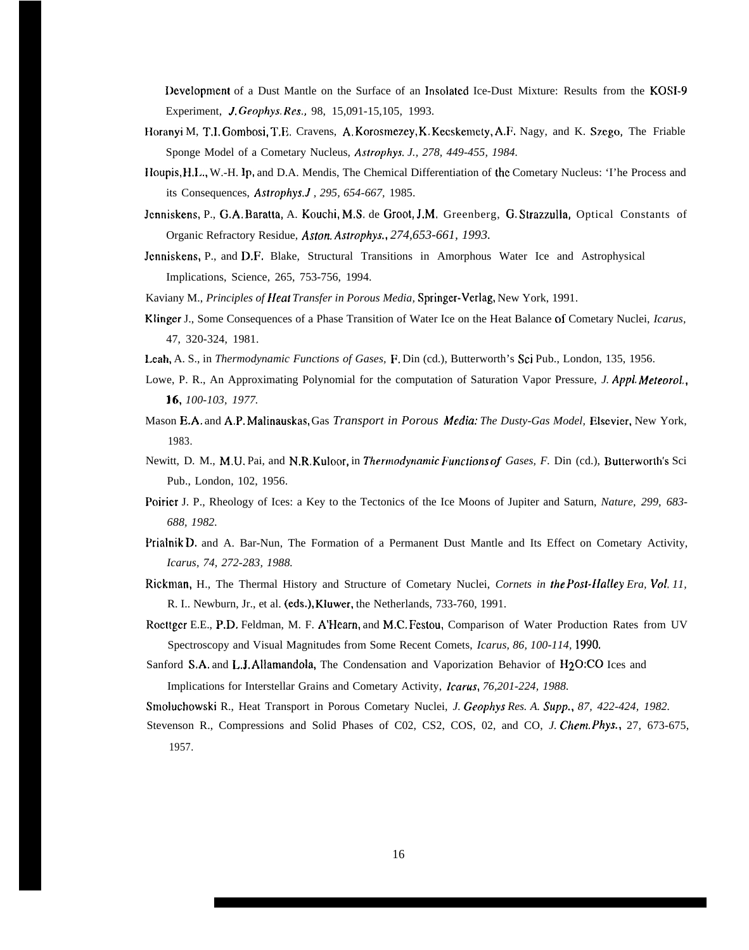Ilcvelopment of a Dust Mantle on the Surface of an Insolated Ice-Dust Mixture: Results from the KOSI-9 Experiment, J. Geophys. *Res.,* 98, 15,091-15,105, 1993.

- Horanyi M, T.I. Gombosi, T.E. Cravens, A. Korosmezey, K. Kecskemety, A.F. Nagy, and K. Szego, The Friable Sponge Model of a Cometary Nucleus, *Astrophys. J., 278, 449-455, 1984.*
- Houpis, H, I., W.-H. Ip, and D.A. Mendis, The Chemical Differentiation of the Cometary Nucleus: 'I'he Process and its Consequences, *Astrophys.J , 295, 654-667,* 1985.
- Jenniskens, P., G.A. Baratta, A. Kouchi, M.S. de Groot, J.M. Greenberg, G. Strazzulla, Optical Constants of Organic Refractory Residue, *Aston. Astrophys., 274,653-661, 1993.*
- Jcnniskens, P., and D.F. Blake, Structural Transitions in Amorphous Water Ice and Astrophysical Implications, Science, 265, 753-756, 1994.

Kaviany M., *Principles of IIeat Transfer in Porous Media,* Springer-Verlag, New York, 1991.

- Klinger J., Some Consequences of a Phase Transition of Water Ice on the Heat Balance of Cometary Nuclei, *Icarus,* 47, 320-324, 1981.
- Leah, A. S., in *Thermodynamic Functions of Gases, P.* Din (cd.), Butterworth's Sci Pub., London, 135, 1956.
- Lowe, P. R., An Approximating Polynomial for the computation of Saturation Vapor Pressure, *J. Appl. Mereorol., 16, 100-103, 1977.*
- Mason E.A. and A.P. Malinauskas, Gas *Transport in Porous Media: The Dusty-Gas Model,* Elscvier, New York, 1983.
- Newitt, D. M., M.U. Pai, and N.R. Kuloor, in *Thermodynamic Functions of Gases, F.* Din (cd.), Butterworth's Sci Pub., London, 102, 1956.
- Poirier J. P., Rheology of Ices: a Key to the Tectonics of the Ice Moons of Jupiter and Saturn, *Nature, 299, 683- 688, 1982.*
- Prialnik D. and A. Bar-Nun, The Formation of a Permanent Dust Mantle and Its Effect on Cometary Activity, *Icarus, 74, 272-283, 1988.*
- Ricktnan, H., The Thermal History and Structure of Cometary Nuclei, *Cornets in the Post-Ilalley Era, VOL 11,* R. I.. Newburn, Jr., et al. (eds.), Kluwer, the Netherlands, 733-760, 1991.
- Rocttger E.E., P.D. Feldman, M. F. A'Hearn, and M.C. Festou, Comparison of Water Production Rates from UV Spectroscopy and Visual Magnitudes from Some Recent Comets, *Icarus, 86, 100-114, 1990.*
- Sanford S.A. and L.J. Allamandola, The Condensation and Vaporization Behavior of H20:C0 Ices and Implications for Interstellar Grains and Cometary Activity, *)carus, 76,201-224, 1988.*

Srnoluchowski R., Heat Transport in Porous Cometary Nuclei, *J. Geophys Res. A. Supp., 87, 422-424, 1982.*

Stevenson R., Compressions and Solid Phases of C02, CS2, COS, 02, and CO, *J. Chern. Phys.,* 27, 673-675, 1957.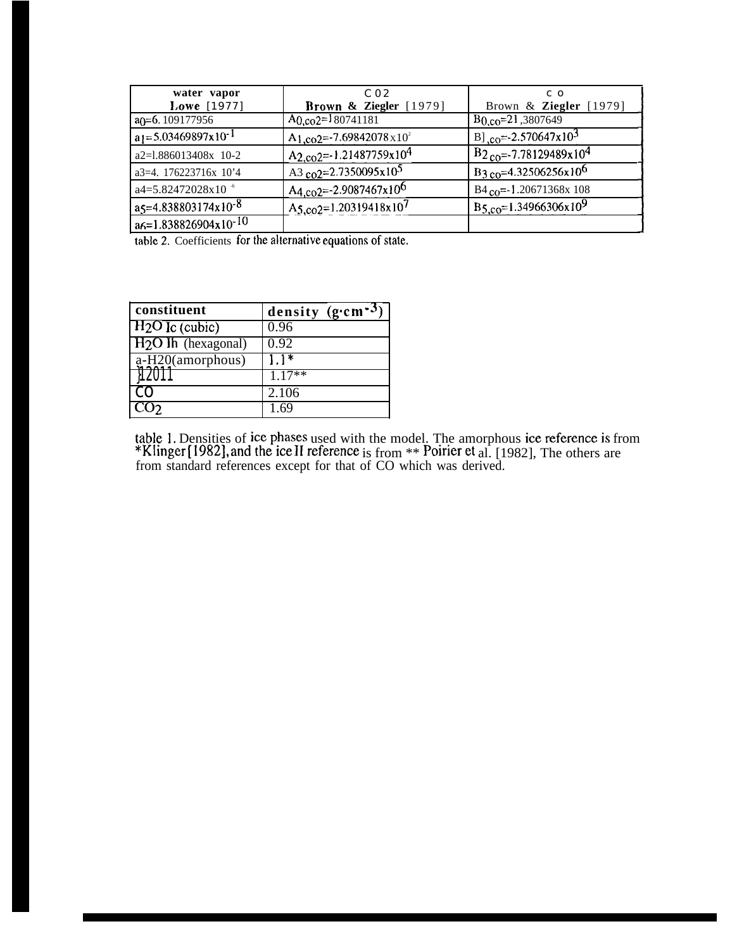| water vapor                        | C <sub>02</sub>                                  | C O                                    |
|------------------------------------|--------------------------------------------------|----------------------------------------|
| Lowe [1977]                        | Brown & Ziegler $[1979]$                         | Brown & Ziegler [1979]                 |
| $a$ ( $= 6.109177956$              | $A_0$ co <sub>2</sub> =180741181                 | $B_{0,00}$ =21,3807649                 |
| $a_1 = 5.03469897 \times 10^{-1}$  | A <sub>1.co</sub> 2=-7.69842078 x10 <sup>2</sup> | $B_{\text{LO}} = 2.570647x10^3$        |
| a2=1.886013408x 10-2               | A <sub>2.co2</sub> =-1.21487759x10 <sup>4</sup>  | $B_{2c0} = -7.78129489 \times 10^{4}$  |
| a3=4. 176223716x 10'4              | A3 co2=2.7350095x10 <sup>5</sup>                 | $B_{3c0} = 4.32506256 \times 10^6$     |
| a4=5.82472028x10 <sup>-6</sup>     | A <sub>4,co</sub> 2=-2.9087467x10 <sup>6</sup>   | $B4_{CO} = -1.20671368x 108$           |
| $a_5 = 4.838803174 \times 10^{-8}$ | A <sub>5.co</sub> 2=1.20319418x10 <sup>7</sup>   | $B_{5,00}$ =1.34966306x10 <sup>9</sup> |
| $a6=1.838826904x10^{-10}$          |                                                  |                                        |

table 2. Coefficients for the alternative equations of state.

| constituent           | density $(g \cdot cm^{-3})$ |
|-----------------------|-----------------------------|
| $H_2O$ Ic (cubic)     | 0.96                        |
| $H_2O$ lh (hexagonal) | 0.92                        |
| $a-H20$ (amorphous)   | $11*$                       |
|                       | $1.17**$                    |
| CO.                   | 2.106                       |
|                       | 1.69                        |

table 1. Densities of ice phases used with the model. The amorphous ice reference is from \*Klinger [1982], and the ice II reference is from \*\* Poirier et al. [1982], The others are from standard references except for that of CO which was derived.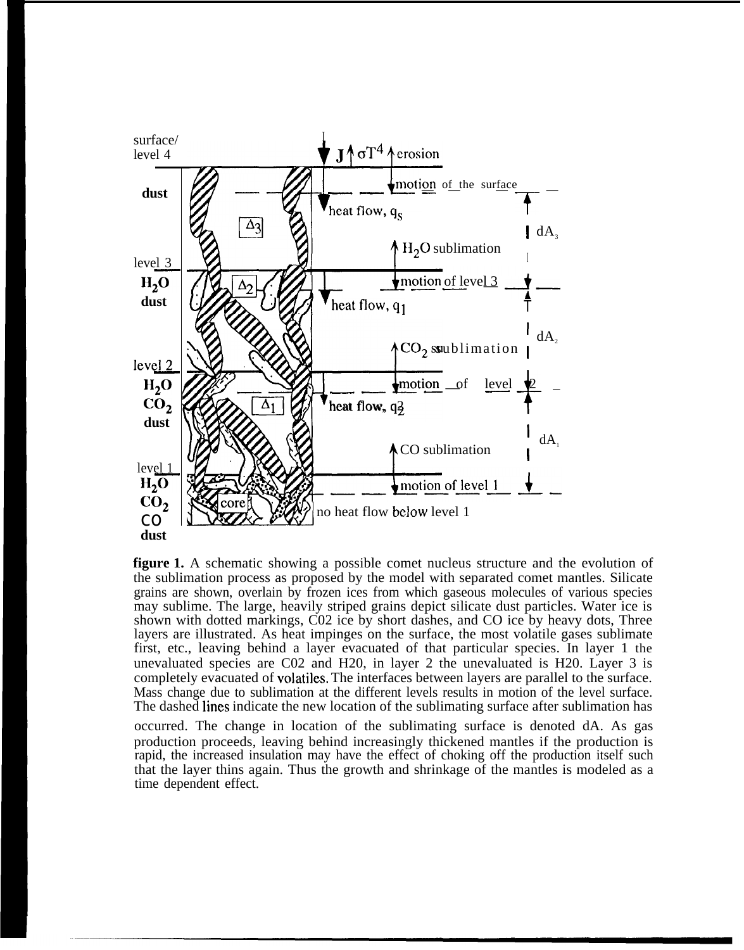

**figure 1.** A schematic showing a possible comet nucleus structure and the evolution of the sublimation process as proposed by the model with separated comet mantles. Silicate grains are shown, overlain by frozen ices from which gaseous molecules of various species may sublime. The large, heavily striped grains depict silicate dust particles. Water ice is shown with dotted markings, C02 ice by short dashes, and CO ice by heavy dots, Three layers are illustrated. As heat impinges on the surface, the most volatile gases sublimate first, etc., leaving behind a layer evacuated of that particular species. In layer 1 the unevaluated species are C02 and H20, in layer 2 the unevaluated is H20. Layer 3 is completely evacuated of volatiles. The interfaces between layers are parallel to the surface. Mass change due to sublimation at the different levels results in motion of the level surface. The dashed lines indicate the new location of the sublimating surface after sublimation has

occurred. The change in location of the sublimating surface is denoted dA. As gas production proceeds, leaving behind increasingly thickened mantles if the production is rapid, the increased insulation may have the effect of choking off the production itself such that the layer thins again. Thus the growth and shrinkage of the mantles is modeled as a time dependent effect.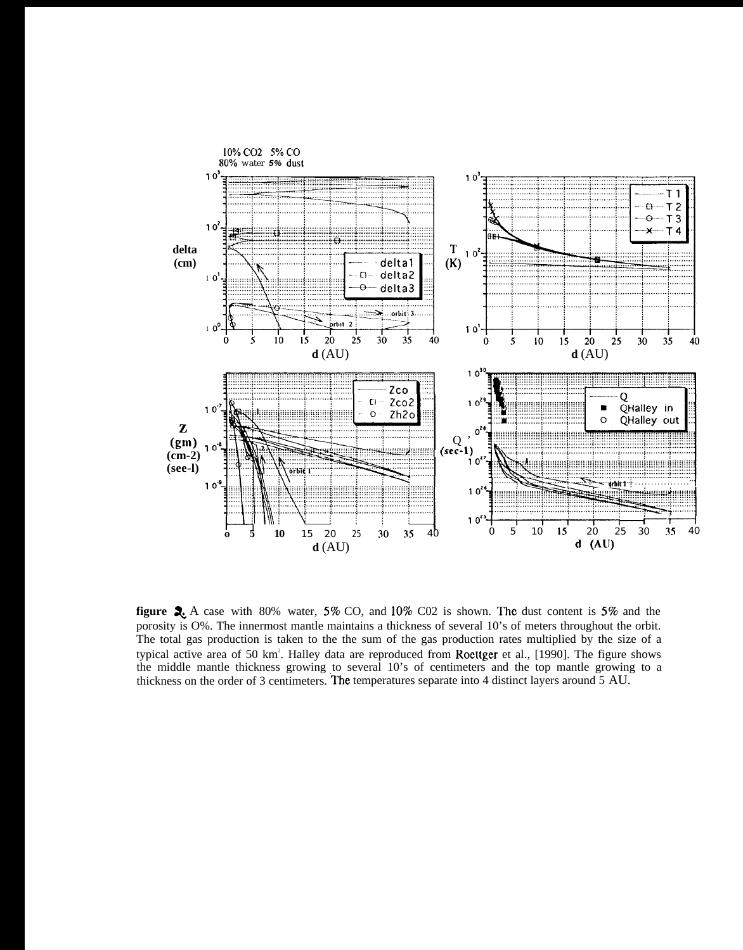

**figure 2.** A case with 80% water, 5% CO, and 10% C02 is shown. The dust content is 5% and the porosity is O%. The innermost mantle maintains a thickness of several 10's of meters throughout the orbit. The total gas production is taken to the the sum of the gas production rates multiplied by the size of a typical active area of 50 km<sup>2</sup>. Halley data are reproduced from Roettger et al., [1990]. The figure shows the middle mantle thickness growing to several 10's of centimeters and the top mantle growing to a thickness on the order of 3 centimeters. The temperatures separate into 4 distinct layers around 5 AU.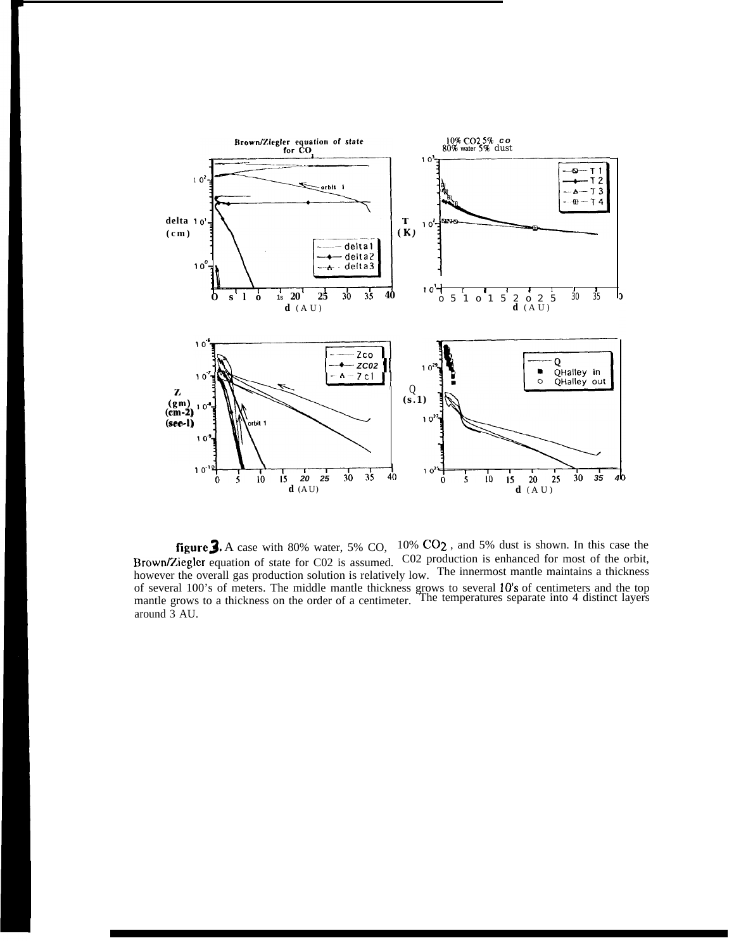

**figure,3.** A case with 80% water, 5% CO, 10% C02 , and 5% dust is shown. In this case the Brown/Ziegler equation of state for C02 is assumed. C02 production is enhanced for most of the orbit, however the overall gas production solution is relatively low. The innermost mantle maintains a thickness of several 100's of meters. The middle mantle thickness grows to several 10's of centimeters and the top mantle grows to a thickness on the order of a centimeter. The temperatures separate into 4 distinct layers around 3 AU.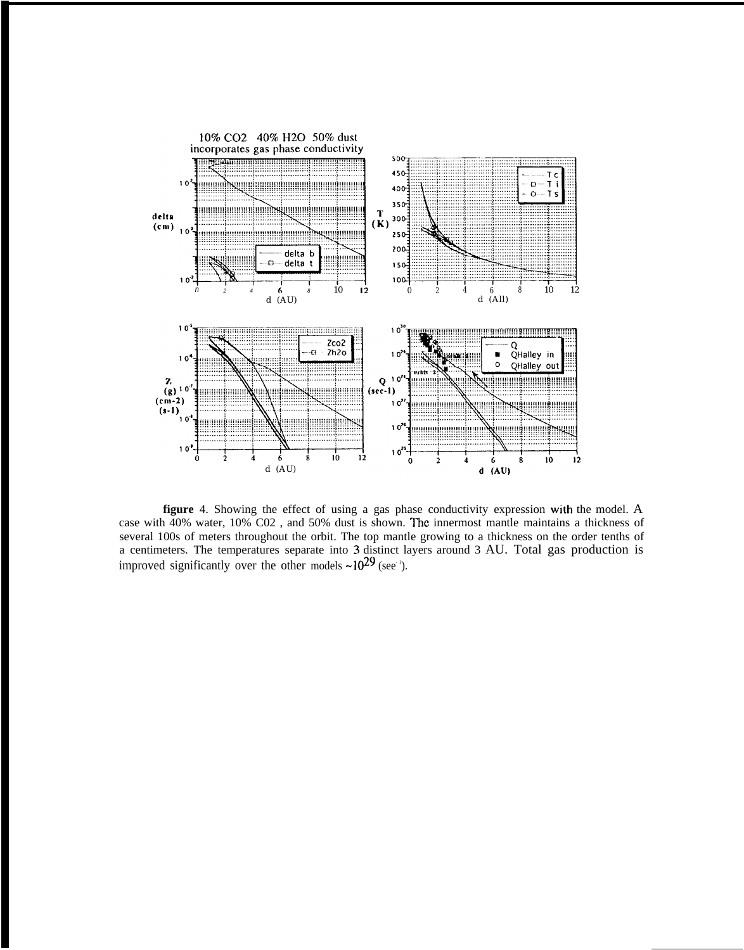

**figure** 4. Showing the effect of using a gas phase conductivity expression with the model. A case with 40% water, 10% C02, and 50% dust is shown. The innermost mantle maintains a thickness of several 100s of meters throughout the orbit. The top mantle growing to a thickness on the order tenths of a centimeters. The temperatures separate into 3 distinct layers around 3 AU. Total gas production is improved significantly over the other models  $\sim 10^{29}$  (see<sup>-1</sup>).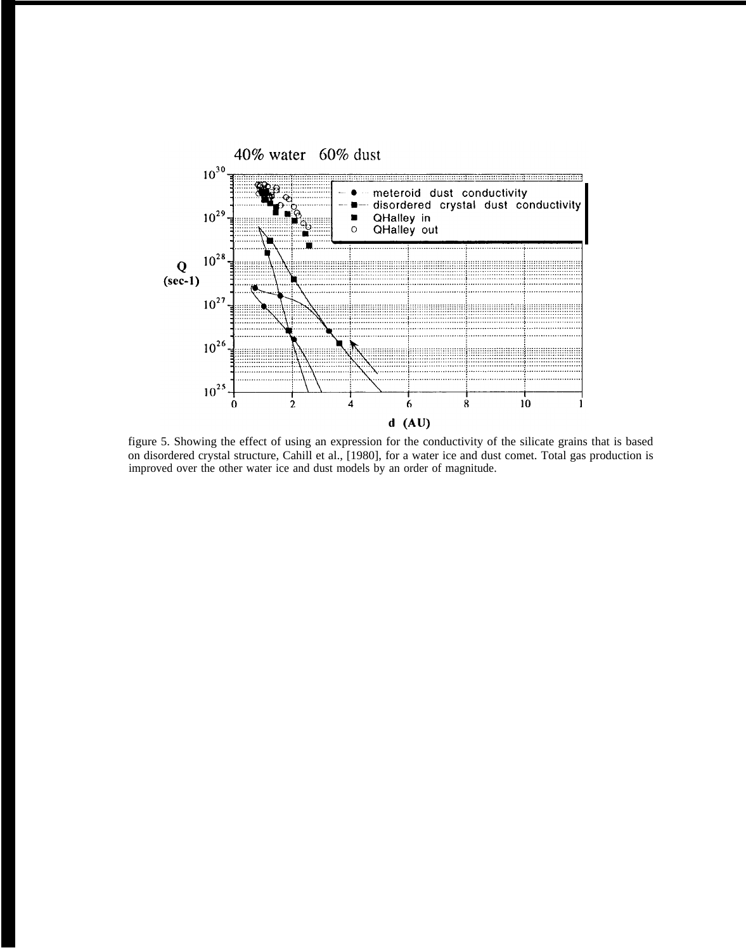

figure 5. Showing the effect of using an expression for the conductivity of the silicate grains that is based on disordered crystal structure, Cahill et al., [1980], for a water ice and dust comet. Total gas production is improved over the other water ice and dust models by an order of magnitude.